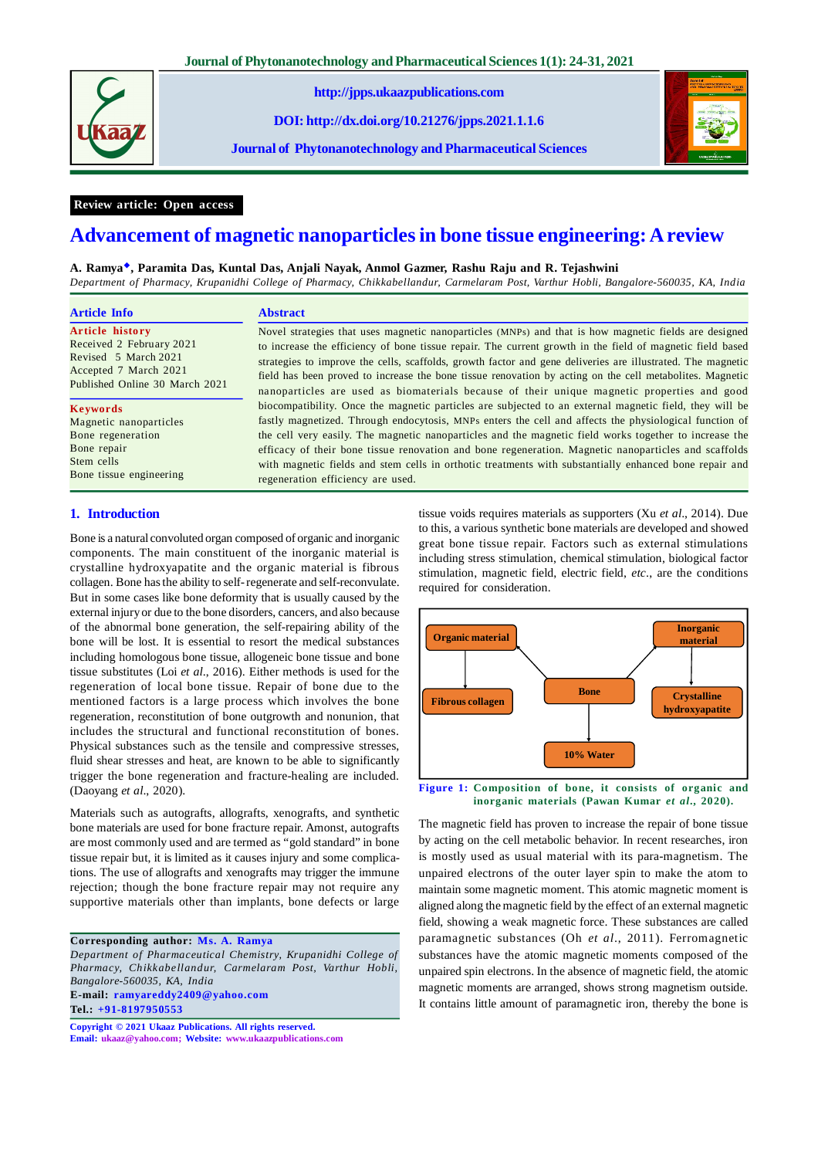

**http://jpps.ukaazpublications.com**

**DOI: http://dx.doi.org/10.21276/jpps.2021.1.1.6**

**Journal of Phytonanotechnology and Pharmaceutical Sciences**



# **Review article: Open access**

# **Advancement of magnetic nanoparticles in bone tissue engineering: A review**

#### **A. Ramya, Paramita Das, Kuntal Das, Anjali Nayak, Anmol Gazmer, Rashu Raju and R. Tejashwini**

*Department of Pharmacy, Krupanidhi College of Pharmacy, Chikkabellandur, Carmelaram Post, Varthur Hobli, Bangalore-560035, KA, India*

| Article Info                   | <b>Abstract</b>                                                                                             |  |  |
|--------------------------------|-------------------------------------------------------------------------------------------------------------|--|--|
| <b>Article history</b>         | Novel strategies that uses magnetic nanoparticles (MNPs) and that is how magnetic fields are designed       |  |  |
| Received 2 February 2021       | to increase the efficiency of bone tissue repair. The current growth in the field of magnetic field based   |  |  |
| Revised 5 March 2021           | strategies to improve the cells, scaffolds, growth factor and gene deliveries are illustrated. The magnetic |  |  |
| Accepted 7 March 2021          | field has been proved to increase the bone tissue renovation by acting on the cell metabolites. Magnetic    |  |  |
| Published Online 30 March 2021 | nanoparticles are used as biomaterials because of their unique magnetic properties and good                 |  |  |
| <b>Keywords</b>                | biocompatibility. Once the magnetic particles are subjected to an external magnetic field, they will be     |  |  |
| Magnetic nanoparticles         | fastly magnetized. Through endocytosis, MNPs enters the cell and affects the physiological function of      |  |  |
| Bone regeneration              | the cell very easily. The magnetic nanoparticles and the magnetic field works together to increase the      |  |  |
| Bone repair                    | efficacy of their bone tissue renovation and bone regeneration. Magnetic nanoparticles and scaffolds        |  |  |
| Stem cells                     | with magnetic fields and stem cells in orthotic treatments with substantially enhanced bone repair and      |  |  |
| Bone tissue engineering        | regeneration efficiency are used.                                                                           |  |  |

## **1. Introduction**

Bone is a natural convoluted organ composed of organic and inorganic components. The main constituent of the inorganic material is crystalline hydroxyapatite and the organic material is fibrous collagen. Bone has the ability to self- regenerate and self-reconvulate. But in some cases like bone deformity that is usually caused by the external injury or due to the bone disorders, cancers, and also because of the abnormal bone generation, the self-repairing ability of the bone will be lost. It is essential to resort the medical substances including homologous bone tissue, allogeneic bone tissue and bone tissue substitutes (Loi *et al*., 2016). Either methods is used for the regeneration of local bone tissue. Repair of bone due to the mentioned factors is a large process which involves the bone regeneration, reconstitution of bone outgrowth and nonunion, that includes the structural and functional reconstitution of bones. Physical substances such as the tensile and compressive stresses, fluid shear stresses and heat, are known to be able to significantly trigger the bone regeneration and fracture-healing are included. (Daoyang *et al*., 2020).

Materials such as autografts, allografts, xenografts, and synthetic bone materials are used for bone fracture repair. Amonst, autografts are most commonly used and are termed as "gold standard" in bone tissue repair but, it is limited as it causes injury and some complications. The use of allografts and xenografts may trigger the immune rejection; though the bone fracture repair may not require any supportive materials other than implants, bone defects or large

#### **Corresponding author: Ms. A. Ramya**

*Department of Pharmaceutical Chemistry, Krupanidhi College of Pharmacy, Chikkabellandur, Carmelaram Post, Varthur Hobli, Bangalore-560035, KA, India* **E-mail: ramyareddy2409@yahoo.com**

**Tel.: +91-8197950553**

**Copyright © 2021 Ukaaz Publications. All rights reserved. Email: ukaaz@yahoo.com; Website: www.ukaazpublications.com** tissue voids requires materials as supporters (Xu *et al*., 2014). Due to this, a various synthetic bone materials are developed and showed great bone tissue repair. Factors such as external stimulations including stress stimulation, chemical stimulation, biological factor stimulation, magnetic field, electric field, *etc*., are the conditions required for consideration.



**Figure 1: Composition of bone, it consists of organic and inorganic materials (Pawan Kumar** *et al***., 2020).**

The magnetic field has proven to increase the repair of bone tissue by acting on the cell metabolic behavior. In recent researches, iron is mostly used as usual material with its para-magnetism. The unpaired electrons of the outer layer spin to make the atom to maintain some magnetic moment. This atomic magnetic moment is aligned along the magnetic field by the effect of an external magnetic field, showing a weak magnetic force. These substances are called paramagnetic substances (Oh *et al*., 2011). Ferromagnetic substances have the atomic magnetic moments composed of the unpaired spin electrons. In the absence of magnetic field, the atomic magnetic moments are arranged, shows strong magnetism outside. It contains little amount of paramagnetic iron, thereby the bone is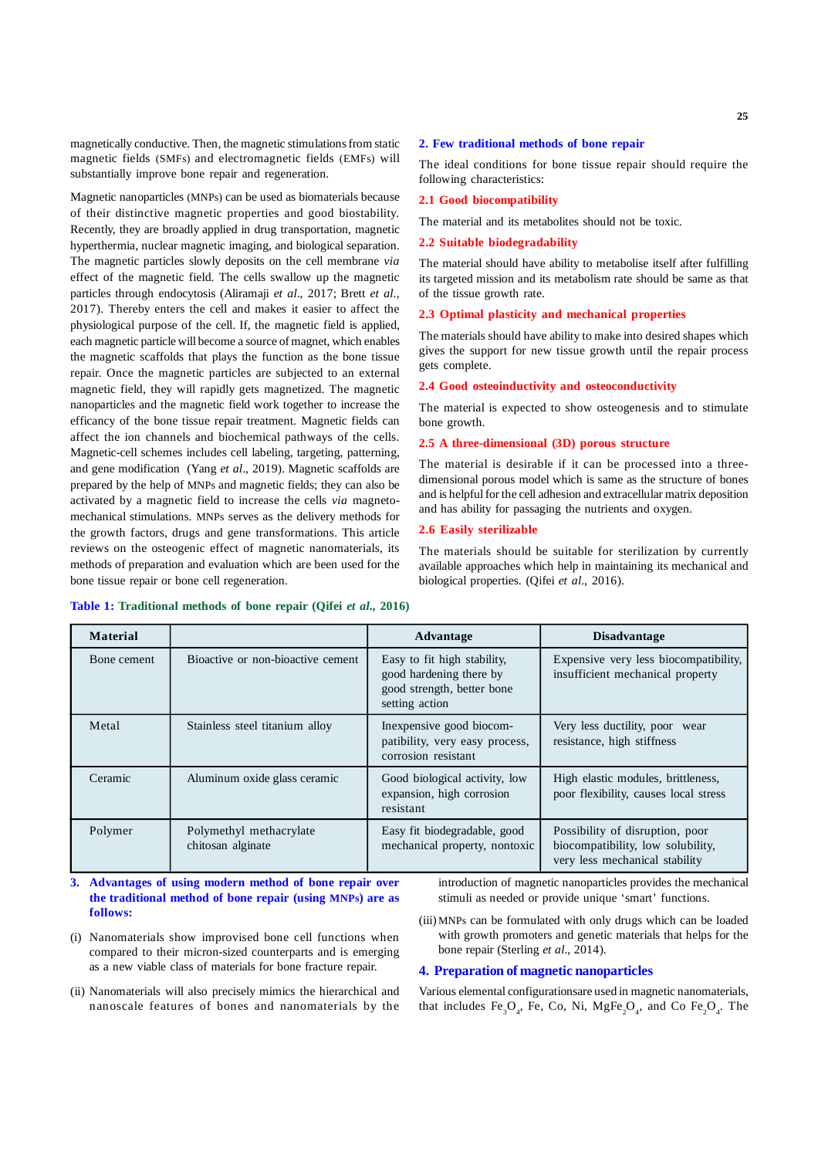magnetically conductive. Then, the magnetic stimulations from static magnetic fields (SMFs) and electromagnetic fields (EMFs) will substantially improve bone repair and regeneration.

Magnetic nanoparticles (MNPs) can be used as biomaterials because of their distinctive magnetic properties and good biostability. Recently, they are broadly applied in drug transportation, magnetic hyperthermia, nuclear magnetic imaging, and biological separation. The magnetic particles slowly deposits on the cell membrane *via* effect of the magnetic field. The cells swallow up the magnetic particles through endocytosis (Aliramaji *et al*., 2017; Brett *et al*., 2017). Thereby enters the cell and makes it easier to affect the physiological purpose of the cell. If, the magnetic field is applied, each magnetic particle will become a source of magnet, which enables the magnetic scaffolds that plays the function as the bone tissue repair. Once the magnetic particles are subjected to an external magnetic field, they will rapidly gets magnetized. The magnetic nanoparticles and the magnetic field work together to increase the efficancy of the bone tissue repair treatment. Magnetic fields can affect the ion channels and biochemical pathways of the cells. Magnetic-cell schemes includes cell labeling, targeting, patterning, and gene modification (Yang *et al*., 2019). Magnetic scaffolds are prepared by the help of MNPs and magnetic fields; they can also be activated by a magnetic field to increase the cells *via* magnetomechanical stimulations. MNPs serves as the delivery methods for the growth factors, drugs and gene transformations. This article reviews on the osteogenic effect of magnetic nanomaterials, its methods of preparation and evaluation which are been used for the bone tissue repair or bone cell regeneration.

#### **2. Few traditional methods of bone repair**

The ideal conditions for bone tissue repair should require the following characteristics:

#### **2.1 Good biocompatibility**

The material and its metabolites should not be toxic.

#### **2.2 Suitable biodegradability**

The material should have ability to metabolise itself after fulfilling its targeted mission and its metabolism rate should be same as that of the tissue growth rate.

#### **2.3 Optimal plasticity and mechanical properties**

The materials should have ability to make into desired shapes which gives the support for new tissue growth until the repair process gets complete.

### **2.4 Good osteoinductivity and osteoconductivity**

The material is expected to show osteogenesis and to stimulate bone growth.

# **2.5 A three-dimensional (3D) porous structure**

The material is desirable if it can be processed into a threedimensional porous model which is same as the structure of bones and is helpful for the cell adhesion and extracellular matrix deposition and has ability for passaging the nutrients and oxygen.

# **2.6 Easily sterilizable**

The materials should be suitable for sterilization by currently available approaches which help in maintaining its mechanical and biological properties. (Qifei *et al*., 2016).

| <b>Material</b> |                                              | Advantage                                                                                              | <b>Disadvantage</b>                                                                                    |
|-----------------|----------------------------------------------|--------------------------------------------------------------------------------------------------------|--------------------------------------------------------------------------------------------------------|
| Bone cement     | Bioactive or non-bioactive cement            | Easy to fit high stability,<br>good hardening there by<br>good strength, better bone<br>setting action | Expensive very less biocompatibility,<br>insufficient mechanical property                              |
| Metal           | Stainless steel titanium alloy               | In expensive good biocom-<br>patibility, very easy process,<br>corrosion resistant                     | Very less ductility, poor wear<br>resistance, high stiffness                                           |
| Ceramic         | Aluminum oxide glass ceramic                 | Good biological activity, low<br>expansion, high corrosion<br>resistant                                | High elastic modules, brittleness,<br>poor flexibility, causes local stress                            |
| Polymer         | Polymethyl methacrylate<br>chitosan alginate | Easy fit biodegradable, good<br>mechanical property, nontoxic                                          | Possibility of disruption, poor<br>biocompatibility, low solubility,<br>very less mechanical stability |

#### **Table 1: Traditional methods of bone repair (Qifei** *et al***., 2016)**

**3. Advantages of using modern method of bone repair over the traditional method of bone repair (using MNPs) are as follows:**

- (i) Nanomaterials show improvised bone cell functions when compared to their micron-sized counterparts and is emerging as a new viable class of materials for bone fracture repair.
- (ii) Nanomaterials will also precisely mimics the hierarchical and nanoscale features of bones and nanomaterials by the

introduction of magnetic nanoparticles provides the mechanical stimuli as needed or provide unique 'smart' functions.

(iii) MNPs can be formulated with only drugs which can be loaded with growth promoters and genetic materials that helps for the bone repair (Sterling *et al*., 2014).

# **4. Preparation of magnetic nanoparticles**

Various elemental configurationsare used in magnetic nanomaterials, that includes  $Fe_3O_4$ , Fe, Co, Ni, MgFe<sub>2</sub>O<sub>4</sub>, and Co Fe<sub>2</sub>O<sub>4</sub>. The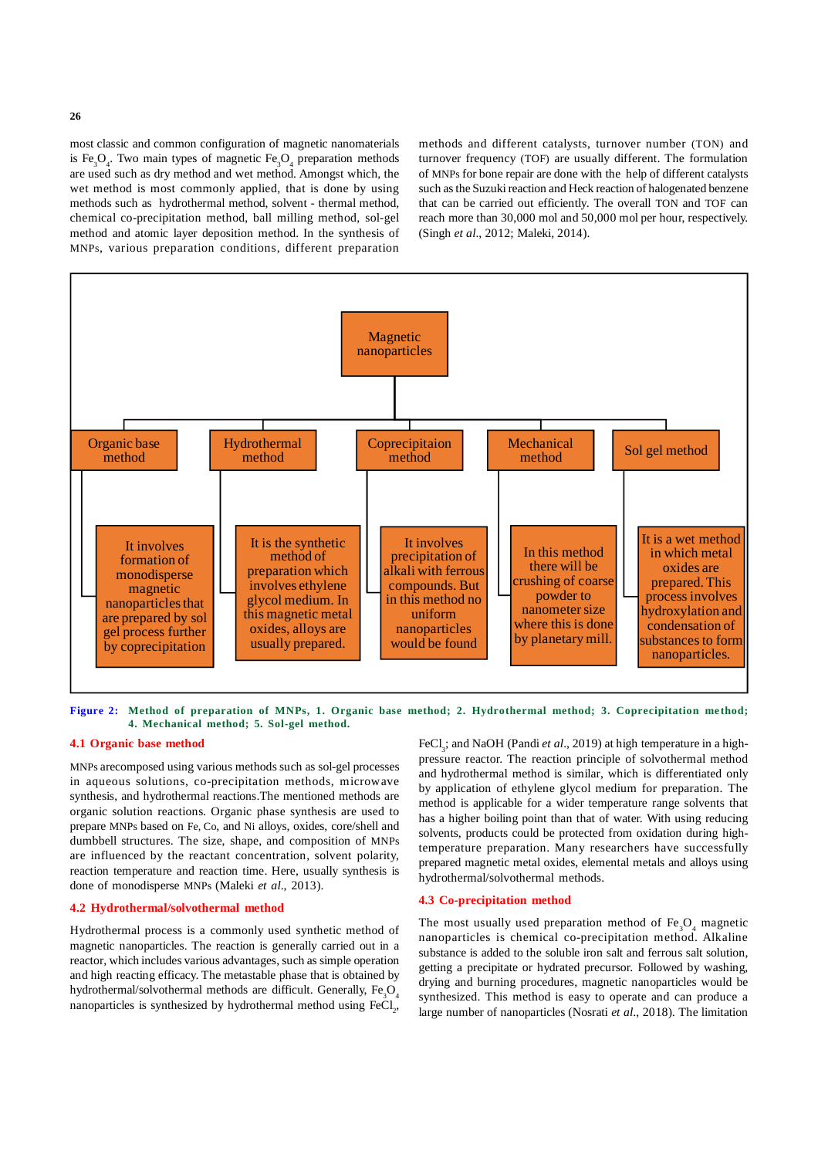most classic and common configuration of magnetic nanomaterials is  $\text{Fe}_{3}\text{O}_{4}$ . Two main types of magnetic  $\text{Fe}_{3}\text{O}_{4}$  preparation methods are used such as dry method and wet method. Amongst which, the wet method is most commonly applied, that is done by using methods such as hydrothermal method, solvent - thermal method, chemical co-precipitation method, ball milling method, sol-gel method and atomic layer deposition method. In the synthesis of MNPs, various preparation conditions, different preparation

methods and different catalysts, turnover number (TON) and turnover frequency (TOF) are usually different. The formulation of MNPs for bone repair are done with the help of different catalysts such as the Suzuki reaction and Heck reaction of halogenated benzene that can be carried out efficiently. The overall TON and TOF can reach more than 30,000 mol and 50,000 mol per hour, respectively. (Singh *et al*., 2012; Maleki, 2014).



**Figure 2: Method of preparation of MNPs, 1. Organic base method; 2. Hydrothermal method; 3. Coprecipitation method; 4. Mechanical method; 5. Sol-gel method.**

### **4.1 Organic base method**

MNPs arecomposed using various methods such as sol-gel processes in aqueous solutions, co-precipitation methods, microwave synthesis, and hydrothermal reactions.The mentioned methods are organic solution reactions. Organic phase synthesis are used to prepare MNPs based on Fe, Co, and Ni alloys, oxides, core/shell and dumbbell structures. The size, shape, and composition of MNPs are influenced by the reactant concentration, solvent polarity, reaction temperature and reaction time. Here, usually synthesis is done of monodisperse MNPs (Maleki *et al*., 2013).

### **4.2 Hydrothermal/solvothermal method**

Hydrothermal process is a commonly used synthetic method of magnetic nanoparticles. The reaction is generally carried out in a reactor, which includes various advantages, such as simple operation and high reacting efficacy. The metastable phase that is obtained by hydrothermal/solvothermal methods are difficult. Generally, Fe<sub>2</sub>O<sub>4</sub> nanoparticles is synthesized by hydrothermal method using  $\text{FeCl}_2$ ,

FeCl<sub>3</sub>; and NaOH (Pandi *et al.*, 2019) at high temperature in a highpressure reactor. The reaction principle of solvothermal method and hydrothermal method is similar, which is differentiated only by application of ethylene glycol medium for preparation. The method is applicable for a wider temperature range solvents that has a higher boiling point than that of water. With using reducing solvents, products could be protected from oxidation during hightemperature preparation. Many researchers have successfully prepared magnetic metal oxides, elemental metals and alloys using hydrothermal/solvothermal methods.

# **4.3 Co-precipitation method**

The most usually used preparation method of  $\text{Fe}_{3}\text{O}_{4}$  magnetic nanoparticles is chemical co-precipitation method. Alkaline substance is added to the soluble iron salt and ferrous salt solution, getting a precipitate or hydrated precursor. Followed by washing, drying and burning procedures, magnetic nanoparticles would be synthesized. This method is easy to operate and can produce a large number of nanoparticles (Nosrati *et al*., 2018). The limitation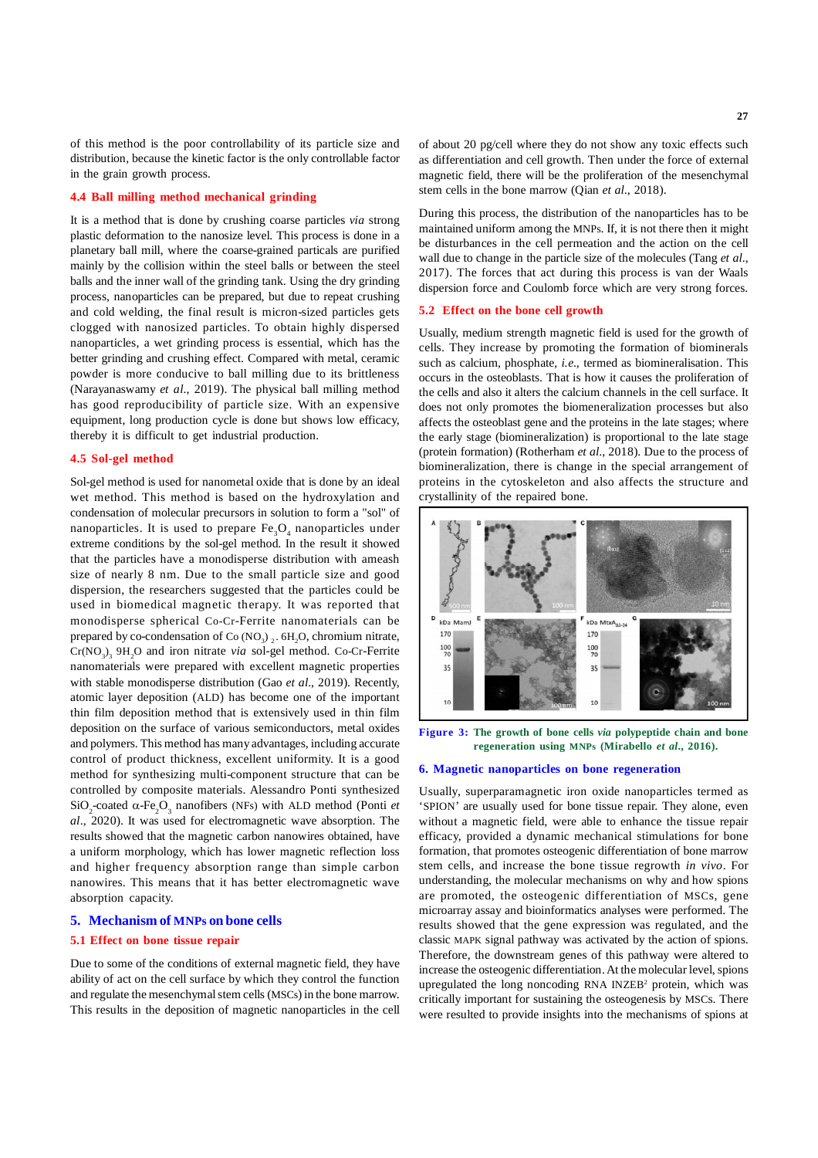of this method is the poor controllability of its particle size and distribution, because the kinetic factor is the only controllable factor in the grain growth process.

# **4.4 Ball milling method mechanical grinding**

It is a method that is done by crushing coarse particles *via* strong plastic deformation to the nanosize level. This process is done in a planetary ball mill, where the coarse-grained particals are purified mainly by the collision within the steel balls or between the steel balls and the inner wall of the grinding tank. Using the dry grinding process, nanoparticles can be prepared, but due to repeat crushing and cold welding, the final result is micron-sized particles gets clogged with nanosized particles. To obtain highly dispersed nanoparticles, a wet grinding process is essential, which has the better grinding and crushing effect. Compared with metal, ceramic powder is more conducive to ball milling due to its brittleness (Narayanaswamy *et al*., 2019). The physical ball milling method has good reproducibility of particle size. With an expensive equipment, long production cycle is done but shows low efficacy, thereby it is difficult to get industrial production.

## **4.5 Sol-gel method**

Sol-gel method is used for nanometal oxide that is done by an ideal wet method. This method is based on the hydroxylation and condensation of molecular precursors in solution to form a "sol" of nanoparticles. It is used to prepare  $\text{Fe}_{\text{3}}\text{O}_{\text{4}}$  nanoparticles under extreme conditions by the sol-gel method. In the result it showed that the particles have a monodisperse distribution with ameash size of nearly 8 nm. Due to the small particle size and good dispersion, the researchers suggested that the particles could be used in biomedical magnetic therapy. It was reported that monodisperse spherical Co-Cr-Ferrite nanomaterials can be prepared by co-condensation of Co  $(NO<sub>3</sub>)<sub>2</sub>$ . 6H<sub>2</sub>O, chromium nitrate,  $Cr(NO<sub>3</sub>)<sub>3</sub> 9H<sub>2</sub>O$  and iron nitrate *via* sol-gel method. Co-Cr-Ferrite nanomaterials were prepared with excellent magnetic properties with stable monodisperse distribution (Gao *et al*., 2019). Recently, atomic layer deposition (ALD) has become one of the important thin film deposition method that is extensively used in thin film deposition on the surface of various semiconductors, metal oxides and polymers. This method has many advantages, including accurate control of product thickness, excellent uniformity. It is a good method for synthesizing multi-component structure that can be controlled by composite materials. Alessandro Ponti synthesized  $SiO_2$ -coated  $\alpha$ -Fe<sub>2</sub>O<sub>3</sub> nanofibers (NFs) with ALD method (Ponti *et al*., 2020). It was used for electromagnetic wave absorption. The results showed that the magnetic carbon nanowires obtained, have a uniform morphology, which has lower magnetic reflection loss and higher frequency absorption range than simple carbon nanowires. This means that it has better electromagnetic wave absorption capacity.

# **5. Mechanism of MNPs on bone cells**

#### **5.1 Effect on bone tissue repair**

Due to some of the conditions of external magnetic field, they have ability of act on the cell surface by which they control the function and regulate the mesenchymal stem cells (MSCs) in the bone marrow. This results in the deposition of magnetic nanoparticles in the cell of about 20 pg/cell where they do not show any toxic effects such as differentiation and cell growth. Then under the force of external magnetic field, there will be the proliferation of the mesenchymal stem cells in the bone marrow (Qian *et al*., 2018).

During this process, the distribution of the nanoparticles has to be maintained uniform among the MNPs. If, it is not there then it might be disturbances in the cell permeation and the action on the cell wall due to change in the particle size of the molecules (Tang *et al*., 2017). The forces that act during this process is van der Waals dispersion force and Coulomb force which are very strong forces.

# **5.2 Effect on the bone cell growth**

Usually, medium strength magnetic field is used for the growth of cells. They increase by promoting the formation of biominerals such as calcium, phosphate, *i.e*., termed as biomineralisation. This occurs in the osteoblasts. That is how it causes the proliferation of the cells and also it alters the calcium channels in the cell surface. It does not only promotes the biomeneralization processes but also affects the osteoblast gene and the proteins in the late stages; where the early stage (biomineralization) is proportional to the late stage (protein formation) (Rotherham *et al*., 2018). Due to the process of biomineralization, there is change in the special arrangement of proteins in the cytoskeleton and also affects the structure and crystallinity of the repaired bone.



**Figure 3: The growth of bone cells** *via* **polypeptide chain and bone regeneration using MNPs (Mirabello** *et al***., 2016).**

#### **6. Magnetic nanoparticles on bone regeneration**

Usually, superparamagnetic iron oxide nanoparticles termed as 'SPION' are usually used for bone tissue repair. They alone, even without a magnetic field, were able to enhance the tissue repair efficacy, provided a dynamic mechanical stimulations for bone formation, that promotes osteogenic differentiation of bone marrow stem cells, and increase the bone tissue regrowth *in vivo*. For understanding, the molecular mechanisms on why and how spions are promoted, the osteogenic differentiation of MSCs, gene microarray assay and bioinformatics analyses were performed. The results showed that the gene expression was regulated, and the classic MAPK signal pathway was activated by the action of spions. Therefore, the downstream genes of this pathway were altered to increase the osteogenic differentiation. At the molecular level, spions upregulated the long noncoding RNA INZEB<sup>2</sup> protein, which was critically important for sustaining the osteogenesis by MSCs. There were resulted to provide insights into the mechanisms of spions at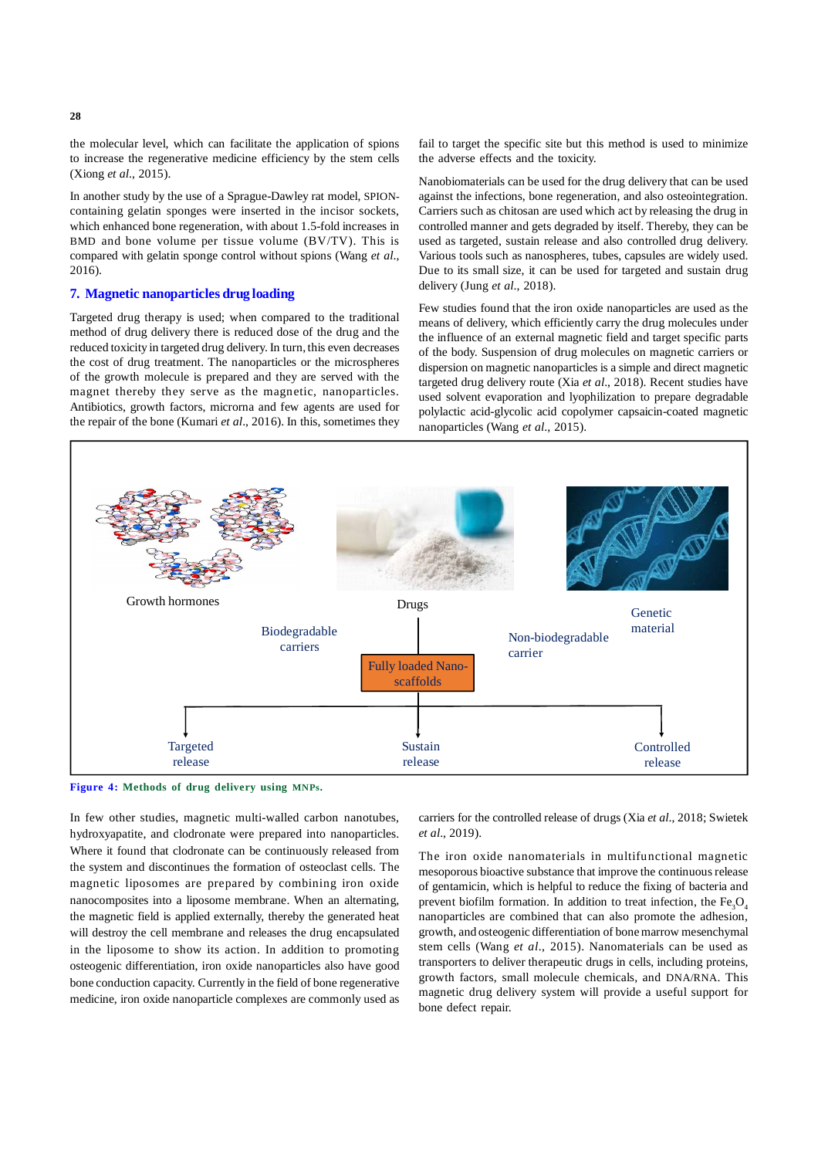the molecular level, which can facilitate the application of spions to increase the regenerative medicine efficiency by the stem cells (Xiong *et al*., 2015).

In another study by the use of a Sprague-Dawley rat model, SPIONcontaining gelatin sponges were inserted in the incisor sockets, which enhanced bone regeneration, with about 1.5-fold increases in BMD and bone volume per tissue volume (BV/TV). This is compared with gelatin sponge control without spions (Wang *et al*., 2016).

# **7. Magnetic nanoparticles drug loading**

Targeted drug therapy is used; when compared to the traditional method of drug delivery there is reduced dose of the drug and the reduced toxicity in targeted drug delivery. In turn, this even decreases the cost of drug treatment. The nanoparticles or the microspheres of the growth molecule is prepared and they are served with the magnet thereby they serve as the magnetic, nanoparticles. Antibiotics, growth factors, microrna and few agents are used for the repair of the bone (Kumari *et al*., 2016). In this, sometimes they fail to target the specific site but this method is used to minimize the adverse effects and the toxicity.

Nanobiomaterials can be used for the drug delivery that can be used against the infections, bone regeneration, and also osteointegration. Carriers such as chitosan are used which act by releasing the drug in controlled manner and gets degraded by itself. Thereby, they can be used as targeted, sustain release and also controlled drug delivery. Various tools such as nanospheres, tubes, capsules are widely used. Due to its small size, it can be used for targeted and sustain drug delivery (Jung *et al*., 2018).

Few studies found that the iron oxide nanoparticles are used as the means of delivery, which efficiently carry the drug molecules under the influence of an external magnetic field and target specific parts of the body. Suspension of drug molecules on magnetic carriers or dispersion on magnetic nanoparticles is a simple and direct magnetic targeted drug delivery route (Xia *et al*., 2018). Recent studies have used solvent evaporation and lyophilization to prepare degradable polylactic acid-glycolic acid copolymer capsaicin-coated magnetic nanoparticles (Wang *et al*., 2015).





In few other studies, magnetic multi-walled carbon nanotubes, hydroxyapatite, and clodronate were prepared into nanoparticles. Where it found that clodronate can be continuously released from the system and discontinues the formation of osteoclast cells. The magnetic liposomes are prepared by combining iron oxide nanocomposites into a liposome membrane. When an alternating, the magnetic field is applied externally, thereby the generated heat will destroy the cell membrane and releases the drug encapsulated in the liposome to show its action. In addition to promoting osteogenic differentiation, iron oxide nanoparticles also have good bone conduction capacity. Currently in the field of bone regenerative medicine, iron oxide nanoparticle complexes are commonly used as carriers for the controlled release of drugs (Xia *et al*., 2018; Swietek *et al*., 2019).

The iron oxide nanomaterials in multifunctional magnetic mesoporous bioactive substance that improve the continuous release of gentamicin, which is helpful to reduce the fixing of bacteria and prevent biofilm formation. In addition to treat infection, the  $Fe<sub>3</sub>O<sub>4</sub>$ nanoparticles are combined that can also promote the adhesion, growth, and osteogenic differentiation of bone marrow mesenchymal stem cells (Wang *et al*., 2015). Nanomaterials can be used as transporters to deliver therapeutic drugs in cells, including proteins, growth factors, small molecule chemicals, and DNA/RNA. This magnetic drug delivery system will provide a useful support for bone defect repair.

**28**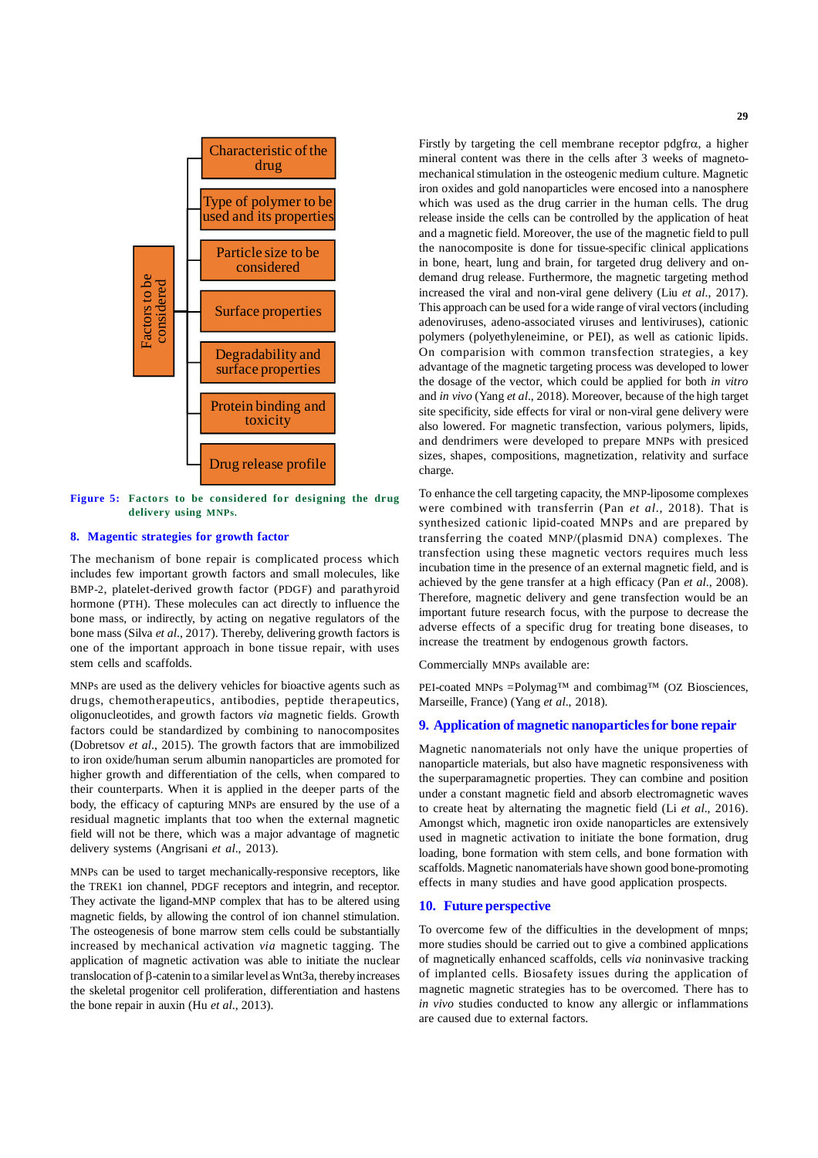

**Figure 5: Factors to be considered for designing the drug delivery using MNPs.**

# **8. Magentic strategies for growth factor**

The mechanism of bone repair is complicated process which includes few important growth factors and small molecules, like BMP-2, platelet-derived growth factor (PDGF) and parathyroid hormone (PTH). These molecules can act directly to influence the bone mass, or indirectly, by acting on negative regulators of the bone mass (Silva *et al*., 2017). Thereby, delivering growth factors is one of the important approach in bone tissue repair, with uses stem cells and scaffolds.

MNPs are used as the delivery vehicles for bioactive agents such as drugs, chemotherapeutics, antibodies, peptide therapeutics, oligonucleotides, and growth factors *via* magnetic fields. Growth factors could be standardized by combining to nanocomposites (Dobretsov *et al*., 2015). The growth factors that are immobilized to iron oxide/human serum albumin nanoparticles are promoted for higher growth and differentiation of the cells, when compared to their counterparts. When it is applied in the deeper parts of the body, the efficacy of capturing MNPs are ensured by the use of a residual magnetic implants that too when the external magnetic field will not be there, which was a major advantage of magnetic delivery systems (Angrisani *et al*., 2013).

MNPs can be used to target mechanically-responsive receptors, like the TREK1 ion channel, PDGF receptors and integrin, and receptor. They activate the ligand-MNP complex that has to be altered using magnetic fields, by allowing the control of ion channel stimulation. The osteogenesis of bone marrow stem cells could be substantially increased by mechanical activation *via* magnetic tagging. The application of magnetic activation was able to initiate the nuclear translocation of  $\beta$ -catenin to a similar level as Wnt3a, thereby increases the skeletal progenitor cell proliferation, differentiation and hastens the bone repair in auxin (Hu *et al*., 2013).

Firstly by targeting the cell membrane receptor  $p \, dq$  fr $\alpha$ , a higher mineral content was there in the cells after 3 weeks of magnetomechanical stimulation in the osteogenic medium culture. Magnetic iron oxides and gold nanoparticles were encosed into a nanosphere which was used as the drug carrier in the human cells. The drug release inside the cells can be controlled by the application of heat and a magnetic field. Moreover, the use of the magnetic field to pull the nanocomposite is done for tissue-specific clinical applications in bone, heart, lung and brain, for targeted drug delivery and ondemand drug release. Furthermore, the magnetic targeting method increased the viral and non-viral gene delivery (Liu *et al*., 2017). This approach can be used for a wide range of viral vectors (including adenoviruses, adeno-associated viruses and lentiviruses), cationic polymers (polyethyleneimine, or PEI), as well as cationic lipids. On comparision with common transfection strategies, a key advantage of the magnetic targeting process was developed to lower the dosage of the vector, which could be applied for both *in vitro* and *in vivo* (Yang *et al*., 2018). Moreover, because of the high target site specificity, side effects for viral or non-viral gene delivery were also lowered. For magnetic transfection, various polymers, lipids, and dendrimers were developed to prepare MNPs with presiced sizes, shapes, compositions, magnetization, relativity and surface charge.

To enhance the cell targeting capacity, the MNP-liposome complexes were combined with transferrin (Pan *et al*., 2018). That is synthesized cationic lipid-coated MNPs and are prepared by transferring the coated MNP/(plasmid DNA) complexes. The transfection using these magnetic vectors requires much less incubation time in the presence of an external magnetic field, and is achieved by the gene transfer at a high efficacy (Pan *et al*., 2008). Therefore, magnetic delivery and gene transfection would be an important future research focus, with the purpose to decrease the adverse effects of a specific drug for treating bone diseases, to increase the treatment by endogenous growth factors.

Commercially MNPs available are:

PEI-coated MNPs =Polymag<sup>TM</sup> and combimag<sup>TM</sup> (OZ Biosciences, Marseille, France) (Yang *et al*., 2018).

# **9. Application of magnetic nanoparticles for bone repair**

Magnetic nanomaterials not only have the unique properties of nanoparticle materials, but also have magnetic responsiveness with the superparamagnetic properties. They can combine and position under a constant magnetic field and absorb electromagnetic waves to create heat by alternating the magnetic field (Li *et al*., 2016). Amongst which, magnetic iron oxide nanoparticles are extensively used in magnetic activation to initiate the bone formation, drug loading, bone formation with stem cells, and bone formation with scaffolds. Magnetic nanomaterials have shown good bone-promoting effects in many studies and have good application prospects.

### **10. Future perspective**

To overcome few of the difficulties in the development of mnps; more studies should be carried out to give a combined applications of magnetically enhanced scaffolds, cells *via* noninvasive tracking of implanted cells. Biosafety issues during the application of magnetic magnetic strategies has to be overcomed. There has to *in vivo* studies conducted to know any allergic or inflammations are caused due to external factors.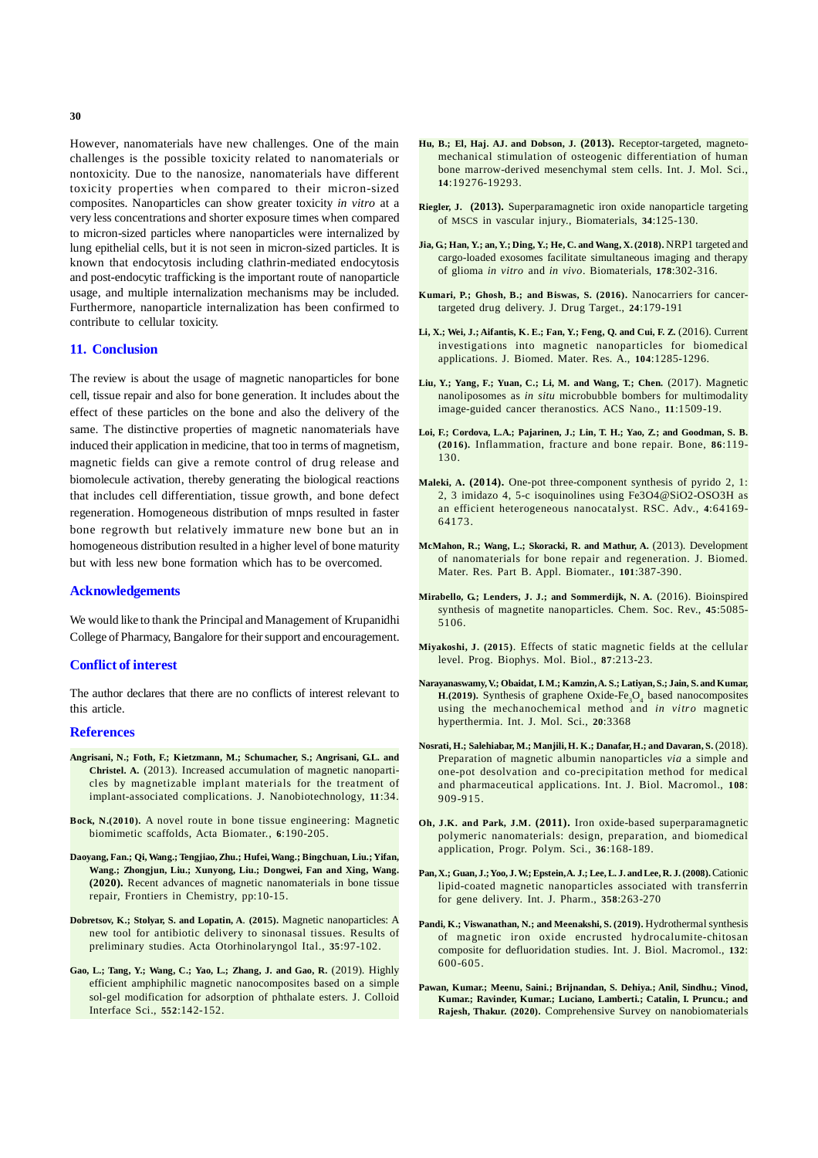However, nanomaterials have new challenges. One of the main challenges is the possible toxicity related to nanomaterials or nontoxicity. Due to the nanosize, nanomaterials have different toxicity properties when compared to their micron-sized composites. Nanoparticles can show greater toxicity *in vitro* at a very less concentrations and shorter exposure times when compared to micron-sized particles where nanoparticles were internalized by lung epithelial cells, but it is not seen in micron-sized particles. It is known that endocytosis including clathrin-mediated endocytosis and post-endocytic trafficking is the important route of nanoparticle usage, and multiple internalization mechanisms may be included. Furthermore, nanoparticle internalization has been confirmed to contribute to cellular toxicity.

### **11. Conclusion**

The review is about the usage of magnetic nanoparticles for bone cell, tissue repair and also for bone generation. It includes about the effect of these particles on the bone and also the delivery of the same. The distinctive properties of magnetic nanomaterials have induced their application in medicine, that too in terms of magnetism, magnetic fields can give a remote control of drug release and biomolecule activation, thereby generating the biological reactions that includes cell differentiation, tissue growth, and bone defect regeneration. Homogeneous distribution of mnps resulted in faster bone regrowth but relatively immature new bone but an in homogeneous distribution resulted in a higher level of bone maturity but with less new bone formation which has to be overcomed.

### **Acknowledgements**

We would like to thank the Principal and Management of Krupanidhi College of Pharmacy, Bangalore for their support and encouragement.

### **Conflict of interest**

The author declares that there are no conflicts of interest relevant to this article.

#### **References**

- **Angrisani, N.; Foth, F.; Kietzmann, M.; Schumacher, S.; Angrisani, G.L. and Christel. A.** (2013). Increased accumulation of magnetic nanoparticles by magnetizable implant materials for the treatment of implant-associated complications. J. Nanobiotechnology, **11**:34.
- **Bock, N.(2010).** A novel route in bone tissue engineering: Magnetic biomimetic scaffolds, Acta Biomater., **6**:190-205.
- **Daoyang, Fan.; Qi, Wang.; Tengjiao, Zhu.; Hufei, Wang.; Bingchuan, Liu.; Yifan, Wang.; Zhongjun, Liu.; Xunyong, Liu.; Dongwei, Fan and Xing, Wang. (2020).** Recent advances of magnetic nanomaterials in bone tissue repair, Frontiers in Chemistry, pp:10-15.
- **Dobretsov, K.; Stolyar, S. and Lopatin, A**. **(2015).** Magnetic nanoparticles: A new tool for antibiotic delivery to sinonasal tissues. Results of preliminary studies. Acta Otorhinolaryngol Ital., **35**:97-102.
- **Gao, L.; Tang, Y.; Wang, C.; Yao, L.; Zhang, J. and Gao, R.** (2019). Highly efficient amphiphilic magnetic nanocomposites based on a simple sol-gel modification for adsorption of phthalate esters. J. Colloid Interface Sci., **552**:142-152.
- **Hu, B.; El, Haj. AJ. and Dobson, J. (2013).** Receptor-targeted, magnetomechanical stimulation of osteogenic differentiation of human bone marrow-derived mesenchymal stem cells. Int. J. Mol. Sci., **14**:19276-19293.
- **Riegler, J. (2013).** Superparamagnetic iron oxide nanoparticle targeting of MSCS in vascular injury., Biomaterials, **34**:125-130.
- **Jia, G.; Han, Y.; an, Y.; Ding, Y.; He, C. and Wang, X. (2018).** NRP1 targeted and cargo-loaded exosomes facilitate simultaneous imaging and therapy of glioma *in vitro* and *in vivo*. Biomaterials, **178**:302-316.
- **Kumari, P.; Ghosh, B.; and Biswas, S. (2016).** Nanocarriers for cancertargeted drug delivery. J. Drug Target., **24**:179-191
- **Li, X.; Wei, J.; Aifantis, K. E.; Fan, Y.; Feng, Q. and Cui, F. Z.** (2016). Current investigations into magnetic nanoparticles for biomedical applications. J. Biomed. Mater. Res. A., **104**:1285-1296.
- **Liu, Y.; Yang, F.; Yuan, C.; Li, M. and Wang, T.; Chen.** (2017). Magnetic nanoliposomes as *in situ* microbubble bombers for multimodality image-guided cancer theranostics. ACS Nano., **11**:1509-19.
- **Loi, F.; Cordova, L.A.; Pajarinen, J.; Lin, T. H.; Yao, Z.; and Goodman, S. B. (2016).** Inflammation, fracture and bone repair. Bone, **86**:119- 130.
- **Maleki, A. (2014).** One-pot three-component synthesis of pyrido 2, 1: 2, 3 imidazo 4, 5-c isoquinolines using Fe3O4@SiO2-OSO3H as an efficient heterogeneous nanocatalyst. RSC. Adv., **4**:64169- 64173.
- **McMahon, R.; Wang, L.; Skoracki, R. and Mathur, A.** (2013). Development of nanomaterials for bone repair and regeneration. J. Biomed. Mater. Res. Part B. Appl. Biomater., **101**:387-390.
- **Mirabello, G.; Lenders, J. J.; and Sommerdijk, N. A.** (2016). Bioinspired synthesis of magnetite nanoparticles. Chem. Soc. Rev., **45**:5085- 5106.
- **Miyakoshi, J. (2015)**. Effects of static magnetic fields at the cellular level. Prog. Biophys. Mol. Biol., **87**:213-23.
- **Narayanaswamy, V.; Obaidat, I. M.; Kamzin, A. S.; Latiyan, S.; Jain, S. and Kumar, H**.(2019). Synthesis of graphene Oxide-Fe<sub>3</sub>O<sub>4</sub> based nanocomposites using the mechanochemical method and *in vitro* magnetic hyperthermia. Int. J. Mol. Sci., **20**:3368
- **Nosrati, H.; Salehiabar, M.; Manjili, H. K.; Danafar, H.; and Davaran, S.** (2018). Preparation of magnetic albumin nanoparticles *via* a simple and one-pot desolvation and co-precipitation method for medical and pharmaceutical applications. Int. J. Biol. Macromol., **108**: 909-915.
- **Oh, J.K. and Park, J.M. (2011).** Iron oxide-based superparamagnetic polymeric nanomaterials: design, preparation, and biomedical application, Progr. Polym. Sci., **36**:168-189.
- **Pan, X.; Guan, J.; Yoo, J. W.; Epstein, A. J.; Lee, L. J. and Lee, R. J. (2008).** Cationic lipid-coated magnetic nanoparticles associated with transferrin for gene delivery. Int. J. Pharm., **358**:263-270
- **Pandi, K.; Viswanathan, N.; and Meenakshi, S. (2019).** Hydrothermal synthesis of magnetic iron oxide encrusted hydrocalumite-chitosan composite for defluoridation studies. Int. J. Biol. Macromol., **132**: 600-605.
- **Pawan, Kumar.; Meenu, Saini.; Brijnandan, S. Dehiya.; Anil, Sindhu.; Vinod, Kumar.; Ravinder, Kumar.; Luciano, Lamberti.; Catalin, I. Pruncu.; and Rajesh, Thakur. (2020).** Comprehensive Survey on nanobiomaterials